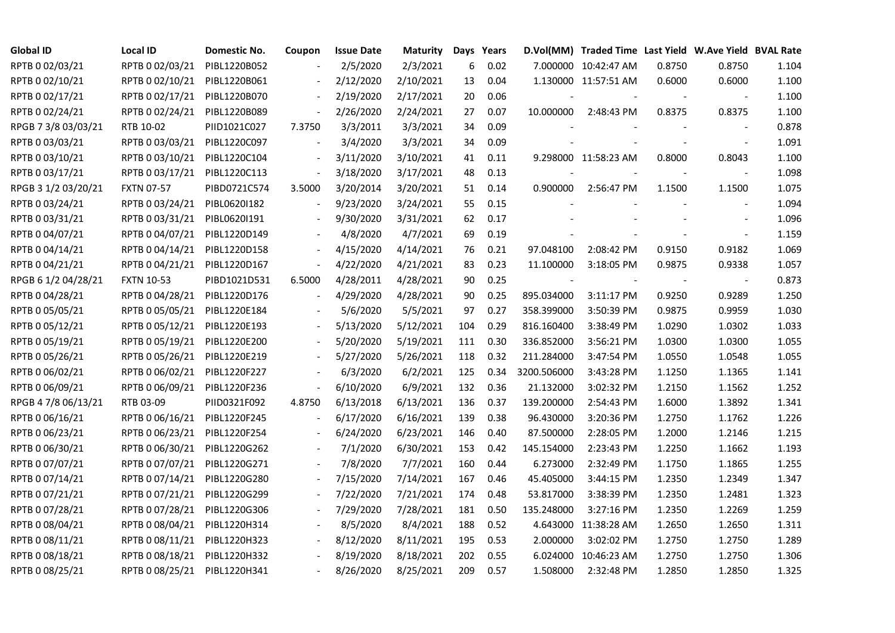| <b>Global ID</b>    | <b>Local ID</b>   | Domestic No. | Coupon                   | <b>Issue Date</b> | <b>Maturity</b> |     | Days Years |             | D.Vol(MM) Traded Time Last Yield W.Ave Yield BVAL Rate |        |                          |       |
|---------------------|-------------------|--------------|--------------------------|-------------------|-----------------|-----|------------|-------------|--------------------------------------------------------|--------|--------------------------|-------|
| RPTB 0 02/03/21     | RPTB 0 02/03/21   | PIBL1220B052 |                          | 2/5/2020          | 2/3/2021        | 6   | 0.02       |             | 7.000000 10:42:47 AM                                   | 0.8750 | 0.8750                   | 1.104 |
| RPTB 0 02/10/21     | RPTB 0 02/10/21   | PIBL1220B061 |                          | 2/12/2020         | 2/10/2021       | 13  | 0.04       |             | 1.130000 11:57:51 AM                                   | 0.6000 | 0.6000                   | 1.100 |
| RPTB 0 02/17/21     | RPTB 0 02/17/21   | PIBL1220B070 | $\overline{\phantom{a}}$ | 2/19/2020         | 2/17/2021       | 20  | 0.06       |             |                                                        |        |                          | 1.100 |
| RPTB 0 02/24/21     | RPTB 0 02/24/21   | PIBL1220B089 | $\blacksquare$           | 2/26/2020         | 2/24/2021       | 27  | 0.07       |             | 10.000000 2:48:43 PM                                   | 0.8375 | 0.8375                   | 1.100 |
| RPGB 7 3/8 03/03/21 | RTB 10-02         | PIID1021C027 | 7.3750                   | 3/3/2011          | 3/3/2021        | 34  | 0.09       |             |                                                        |        |                          | 0.878 |
| RPTB 0 03/03/21     | RPTB 0 03/03/21   | PIBL1220C097 |                          | 3/4/2020          | 3/3/2021        | 34  | 0.09       |             |                                                        |        |                          | 1.091 |
| RPTB 0 03/10/21     | RPTB 0 03/10/21   | PIBL1220C104 | $\blacksquare$           | 3/11/2020         | 3/10/2021       | 41  | 0.11       |             | 9.298000 11:58:23 AM                                   | 0.8000 | 0.8043                   | 1.100 |
| RPTB 0 03/17/21     | RPTB 0 03/17/21   | PIBL1220C113 | $\Box$                   | 3/18/2020         | 3/17/2021       | 48  | 0.13       |             |                                                        |        | $\overline{\phantom{a}}$ | 1.098 |
| RPGB 3 1/2 03/20/21 | <b>FXTN 07-57</b> | PIBD0721C574 | 3.5000                   | 3/20/2014         | 3/20/2021       | 51  | 0.14       | 0.900000    | 2:56:47 PM                                             | 1.1500 | 1.1500                   | 1.075 |
| RPTB 0 03/24/21     | RPTB 0 03/24/21   | PIBL0620I182 |                          | 9/23/2020         | 3/24/2021       | 55  | 0.15       |             |                                                        |        |                          | 1.094 |
| RPTB 0 03/31/21     | RPTB 0 03/31/21   | PIBL0620I191 | $\overline{a}$           | 9/30/2020         | 3/31/2021       | 62  | 0.17       |             |                                                        |        |                          | 1.096 |
| RPTB 0 04/07/21     | RPTB 0 04/07/21   | PIBL1220D149 |                          | 4/8/2020          | 4/7/2021        | 69  | 0.19       |             |                                                        |        |                          | 1.159 |
| RPTB 0 04/14/21     | RPTB 0 04/14/21   | PIBL1220D158 |                          | 4/15/2020         | 4/14/2021       | 76  | 0.21       | 97.048100   | 2:08:42 PM                                             | 0.9150 | 0.9182                   | 1.069 |
| RPTB 0 04/21/21     | RPTB 0 04/21/21   | PIBL1220D167 | $\overline{\phantom{a}}$ | 4/22/2020         | 4/21/2021       | 83  | 0.23       | 11.100000   | 3:18:05 PM                                             | 0.9875 | 0.9338                   | 1.057 |
| RPGB 6 1/2 04/28/21 | <b>FXTN 10-53</b> | PIBD1021D531 | 6.5000                   | 4/28/2011         | 4/28/2021       | 90  | 0.25       | $\sim$      |                                                        |        | $\overline{\phantom{a}}$ | 0.873 |
| RPTB 0 04/28/21     | RPTB 0 04/28/21   | PIBL1220D176 |                          | 4/29/2020         | 4/28/2021       | 90  | 0.25       | 895.034000  | 3:11:17 PM                                             | 0.9250 | 0.9289                   | 1.250 |
| RPTB 0 05/05/21     | RPTB 0 05/05/21   | PIBL1220E184 |                          | 5/6/2020          | 5/5/2021        | 97  | 0.27       | 358.399000  | 3:50:39 PM                                             | 0.9875 | 0.9959                   | 1.030 |
| RPTB 0 05/12/21     | RPTB 0 05/12/21   | PIBL1220E193 | $\blacksquare$           | 5/13/2020         | 5/12/2021       | 104 | 0.29       | 816.160400  | 3:38:49 PM                                             | 1.0290 | 1.0302                   | 1.033 |
| RPTB 0 05/19/21     | RPTB 0 05/19/21   | PIBL1220E200 |                          | 5/20/2020         | 5/19/2021       | 111 | 0.30       | 336.852000  | 3:56:21 PM                                             | 1.0300 | 1.0300                   | 1.055 |
| RPTB 0 05/26/21     | RPTB 0 05/26/21   | PIBL1220E219 |                          | 5/27/2020         | 5/26/2021       | 118 | 0.32       | 211.284000  | 3:47:54 PM                                             | 1.0550 | 1.0548                   | 1.055 |
| RPTB 0 06/02/21     | RPTB 0 06/02/21   | PIBL1220F227 |                          | 6/3/2020          | 6/2/2021        | 125 | 0.34       | 3200.506000 | 3:43:28 PM                                             | 1.1250 | 1.1365                   | 1.141 |
| RPTB 0 06/09/21     | RPTB 0 06/09/21   | PIBL1220F236 | $\blacksquare$           | 6/10/2020         | 6/9/2021        | 132 | 0.36       | 21.132000   | 3:02:32 PM                                             | 1.2150 | 1.1562                   | 1.252 |
| RPGB 4 7/8 06/13/21 | RTB 03-09         | PIID0321F092 | 4.8750                   | 6/13/2018         | 6/13/2021       | 136 | 0.37       | 139.200000  | 2:54:43 PM                                             | 1.6000 | 1.3892                   | 1.341 |
| RPTB 0 06/16/21     | RPTB 0 06/16/21   | PIBL1220F245 |                          | 6/17/2020         | 6/16/2021       | 139 | 0.38       | 96.430000   | 3:20:36 PM                                             | 1.2750 | 1.1762                   | 1.226 |
| RPTB 0 06/23/21     | RPTB 0 06/23/21   | PIBL1220F254 | $\overline{\phantom{a}}$ | 6/24/2020         | 6/23/2021       | 146 | 0.40       | 87.500000   | 2:28:05 PM                                             | 1.2000 | 1.2146                   | 1.215 |
| RPTB 0 06/30/21     | RPTB 0 06/30/21   | PIBL1220G262 |                          | 7/1/2020          | 6/30/2021       | 153 | 0.42       | 145.154000  | 2:23:43 PM                                             | 1.2250 | 1.1662                   | 1.193 |
| RPTB 0 07/07/21     | RPTB 0 07/07/21   | PIBL1220G271 |                          | 7/8/2020          | 7/7/2021        | 160 | 0.44       | 6.273000    | 2:32:49 PM                                             | 1.1750 | 1.1865                   | 1.255 |
| RPTB 0 07/14/21     | RPTB 0 07/14/21   | PIBL1220G280 |                          | 7/15/2020         | 7/14/2021       | 167 | 0.46       | 45.405000   | 3:44:15 PM                                             | 1.2350 | 1.2349                   | 1.347 |
| RPTB 0 07/21/21     | RPTB 0 07/21/21   | PIBL1220G299 |                          | 7/22/2020         | 7/21/2021       | 174 | 0.48       | 53.817000   | 3:38:39 PM                                             | 1.2350 | 1.2481                   | 1.323 |
| RPTB 0 07/28/21     | RPTB 0 07/28/21   | PIBL1220G306 |                          | 7/29/2020         | 7/28/2021       | 181 | 0.50       | 135.248000  | 3:27:16 PM                                             | 1.2350 | 1.2269                   | 1.259 |
| RPTB 0 08/04/21     | RPTB 0 08/04/21   | PIBL1220H314 |                          | 8/5/2020          | 8/4/2021        | 188 | 0.52       |             | 4.643000 11:38:28 AM                                   | 1.2650 | 1.2650                   | 1.311 |
| RPTB 0 08/11/21     | RPTB 0 08/11/21   | PIBL1220H323 | $\blacksquare$           | 8/12/2020         | 8/11/2021       | 195 | 0.53       | 2.000000    | 3:02:02 PM                                             | 1.2750 | 1.2750                   | 1.289 |
| RPTB 0 08/18/21     | RPTB 0 08/18/21   | PIBL1220H332 |                          | 8/19/2020         | 8/18/2021       | 202 | 0.55       |             | 6.024000 10:46:23 AM                                   | 1.2750 | 1.2750                   | 1.306 |
| RPTB 0 08/25/21     | RPTB 0 08/25/21   | PIBL1220H341 |                          | 8/26/2020         | 8/25/2021       | 209 | 0.57       | 1.508000    | 2:32:48 PM                                             | 1.2850 | 1.2850                   | 1.325 |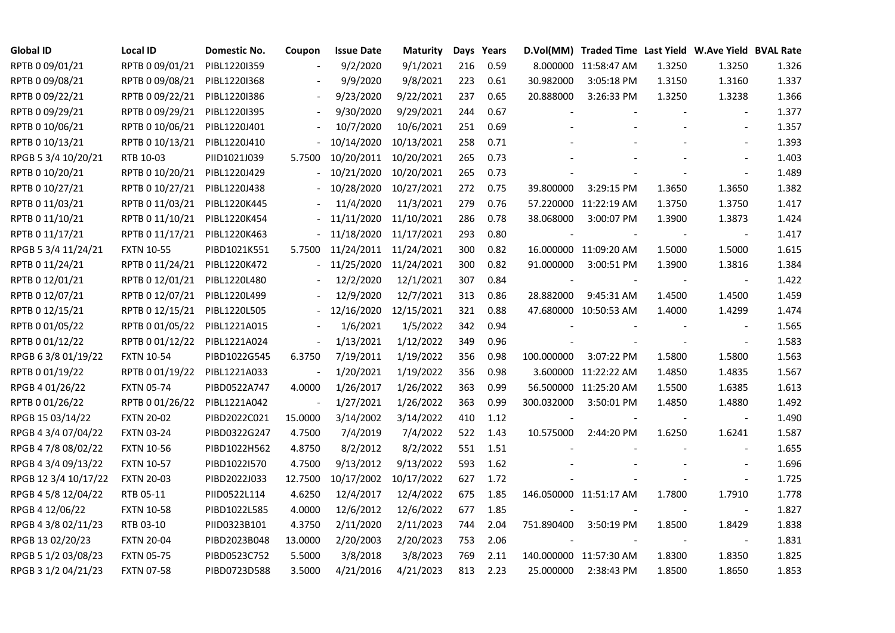| <b>Global ID</b>     | <b>Local ID</b>   | Domestic No. | Coupon                   | <b>Issue Date</b>     | <b>Maturity</b> |     | Days Years |            | D.Vol(MM) Traded Time Last Yield W.Ave Yield BVAL Rate |        |                          |       |
|----------------------|-------------------|--------------|--------------------------|-----------------------|-----------------|-----|------------|------------|--------------------------------------------------------|--------|--------------------------|-------|
| RPTB 0 09/01/21      | RPTB 0 09/01/21   | PIBL1220I359 |                          | 9/2/2020              | 9/1/2021        | 216 | 0.59       |            | 8.000000 11:58:47 AM                                   | 1.3250 | 1.3250                   | 1.326 |
| RPTB 0 09/08/21      | RPTB 0 09/08/21   | PIBL1220I368 |                          | 9/9/2020              | 9/8/2021        | 223 | 0.61       | 30.982000  | 3:05:18 PM                                             | 1.3150 | 1.3160                   | 1.337 |
| RPTB 0 09/22/21      | RPTB 0 09/22/21   | PIBL1220I386 |                          | 9/23/2020             | 9/22/2021       | 237 | 0.65       | 20.888000  | 3:26:33 PM                                             | 1.3250 | 1.3238                   | 1.366 |
| RPTB 0 09/29/21      | RPTB 0 09/29/21   | PIBL1220I395 | $\blacksquare$           | 9/30/2020             | 9/29/2021       | 244 | 0.67       |            |                                                        |        | $\blacksquare$           | 1.377 |
| RPTB 0 10/06/21      | RPTB 0 10/06/21   | PIBL1220J401 |                          | 10/7/2020             | 10/6/2021       | 251 | 0.69       |            |                                                        |        |                          | 1.357 |
| RPTB 0 10/13/21      | RPTB 0 10/13/21   | PIBL1220J410 |                          | 10/14/2020            | 10/13/2021      | 258 | 0.71       |            |                                                        |        | $\blacksquare$           | 1.393 |
| RPGB 5 3/4 10/20/21  | RTB 10-03         | PIID1021J039 | 5.7500                   | 10/20/2011            | 10/20/2021      | 265 | 0.73       |            |                                                        |        |                          | 1.403 |
| RPTB 0 10/20/21      | RPTB 0 10/20/21   | PIBL1220J429 |                          | 10/21/2020            | 10/20/2021      | 265 | 0.73       |            |                                                        |        | $\blacksquare$           | 1.489 |
| RPTB 0 10/27/21      | RPTB 0 10/27/21   | PIBL1220J438 |                          | 10/28/2020            | 10/27/2021      | 272 | 0.75       | 39.800000  | 3:29:15 PM                                             | 1.3650 | 1.3650                   | 1.382 |
| RPTB 0 11/03/21      | RPTB 0 11/03/21   | PIBL1220K445 |                          | 11/4/2020             | 11/3/2021       | 279 | 0.76       |            | 57.220000 11:22:19 AM                                  | 1.3750 | 1.3750                   | 1.417 |
| RPTB 0 11/10/21      | RPTB 0 11/10/21   | PIBL1220K454 |                          | 11/11/2020            | 11/10/2021      | 286 | 0.78       | 38.068000  | 3:00:07 PM                                             | 1.3900 | 1.3873                   | 1.424 |
| RPTB 0 11/17/21      | RPTB 0 11/17/21   | PIBL1220K463 |                          | 11/18/2020            | 11/17/2021      | 293 | 0.80       |            |                                                        |        | $\overline{\phantom{a}}$ | 1.417 |
| RPGB 5 3/4 11/24/21  | <b>FXTN 10-55</b> | PIBD1021K551 | 5.7500                   | 11/24/2011 11/24/2021 |                 | 300 | 0.82       |            | 16.000000 11:09:20 AM                                  | 1.5000 | 1.5000                   | 1.615 |
| RPTB 0 11/24/21      | RPTB 0 11/24/21   | PIBL1220K472 | $\blacksquare$           | 11/25/2020            | 11/24/2021      | 300 | 0.82       | 91.000000  | 3:00:51 PM                                             | 1.3900 | 1.3816                   | 1.384 |
| RPTB 0 12/01/21      | RPTB 0 12/01/21   | PIBL1220L480 |                          | 12/2/2020             | 12/1/2021       | 307 | 0.84       |            |                                                        |        | $\overline{\phantom{a}}$ | 1.422 |
| RPTB 0 12/07/21      | RPTB 0 12/07/21   | PIBL1220L499 |                          | 12/9/2020             | 12/7/2021       | 313 | 0.86       | 28.882000  | 9:45:31 AM                                             | 1.4500 | 1.4500                   | 1.459 |
| RPTB 0 12/15/21      | RPTB 0 12/15/21   | PIBL1220L505 |                          | 12/16/2020            | 12/15/2021      | 321 | 0.88       |            | 47.680000 10:50:53 AM                                  | 1.4000 | 1.4299                   | 1.474 |
| RPTB 0 01/05/22      | RPTB 0 01/05/22   | PIBL1221A015 | $\overline{\phantom{a}}$ | 1/6/2021              | 1/5/2022        | 342 | 0.94       |            |                                                        |        | $\blacksquare$           | 1.565 |
| RPTB 0 01/12/22      | RPTB 0 01/12/22   | PIBL1221A024 | $\blacksquare$           | 1/13/2021             | 1/12/2022       | 349 | 0.96       |            |                                                        |        |                          | 1.583 |
| RPGB 63/8 01/19/22   | <b>FXTN 10-54</b> | PIBD1022G545 | 6.3750                   | 7/19/2011             | 1/19/2022       | 356 | 0.98       | 100.000000 | 3:07:22 PM                                             | 1.5800 | 1.5800                   | 1.563 |
| RPTB 0 01/19/22      | RPTB 0 01/19/22   | PIBL1221A033 | $\overline{\phantom{a}}$ | 1/20/2021             | 1/19/2022       | 356 | 0.98       |            | 3.600000 11:22:22 AM                                   | 1.4850 | 1.4835                   | 1.567 |
| RPGB 4 01/26/22      | <b>FXTN 05-74</b> | PIBD0522A747 | 4.0000                   | 1/26/2017             | 1/26/2022       | 363 | 0.99       |            | 56.500000 11:25:20 AM                                  | 1.5500 | 1.6385                   | 1.613 |
| RPTB 0 01/26/22      | RPTB 0 01/26/22   | PIBL1221A042 |                          | 1/27/2021             | 1/26/2022       | 363 | 0.99       | 300.032000 | 3:50:01 PM                                             | 1.4850 | 1.4880                   | 1.492 |
| RPGB 15 03/14/22     | <b>FXTN 20-02</b> | PIBD2022C021 | 15.0000                  | 3/14/2002             | 3/14/2022       | 410 | 1.12       |            |                                                        |        |                          | 1.490 |
| RPGB 4 3/4 07/04/22  | <b>FXTN 03-24</b> | PIBD0322G247 | 4.7500                   | 7/4/2019              | 7/4/2022        | 522 | 1.43       | 10.575000  | 2:44:20 PM                                             | 1.6250 | 1.6241                   | 1.587 |
| RPGB 4 7/8 08/02/22  | <b>FXTN 10-56</b> | PIBD1022H562 | 4.8750                   | 8/2/2012              | 8/2/2022        | 551 | 1.51       |            |                                                        |        |                          | 1.655 |
| RPGB 4 3/4 09/13/22  | <b>FXTN 10-57</b> | PIBD1022I570 | 4.7500                   | 9/13/2012             | 9/13/2022       | 593 | 1.62       |            |                                                        |        | $\blacksquare$           | 1.696 |
| RPGB 12 3/4 10/17/22 | <b>FXTN 20-03</b> | PIBD2022J033 | 12.7500                  | 10/17/2002            | 10/17/2022      | 627 | 1.72       |            |                                                        |        | $\blacksquare$           | 1.725 |
| RPGB 4 5/8 12/04/22  | RTB 05-11         | PIID0522L114 | 4.6250                   | 12/4/2017             | 12/4/2022       | 675 | 1.85       |            | 146.050000 11:51:17 AM                                 | 1.7800 | 1.7910                   | 1.778 |
| RPGB 4 12/06/22      | <b>FXTN 10-58</b> | PIBD1022L585 | 4.0000                   | 12/6/2012             | 12/6/2022       | 677 | 1.85       |            |                                                        |        |                          | 1.827 |
| RPGB 4 3/8 02/11/23  | RTB 03-10         | PIID0323B101 | 4.3750                   | 2/11/2020             | 2/11/2023       | 744 | 2.04       | 751.890400 | 3:50:19 PM                                             | 1.8500 | 1.8429                   | 1.838 |
| RPGB 13 02/20/23     | <b>FXTN 20-04</b> | PIBD2023B048 | 13.0000                  | 2/20/2003             | 2/20/2023       | 753 | 2.06       |            |                                                        |        | $\overline{\phantom{a}}$ | 1.831 |
| RPGB 5 1/2 03/08/23  | <b>FXTN 05-75</b> | PIBD0523C752 | 5.5000                   | 3/8/2018              | 3/8/2023        | 769 | 2.11       |            | 140.000000 11:57:30 AM                                 | 1.8300 | 1.8350                   | 1.825 |
| RPGB 3 1/2 04/21/23  | <b>FXTN 07-58</b> | PIBD0723D588 | 3.5000                   | 4/21/2016             | 4/21/2023       | 813 | 2.23       | 25.000000  | 2:38:43 PM                                             | 1.8500 | 1.8650                   | 1.853 |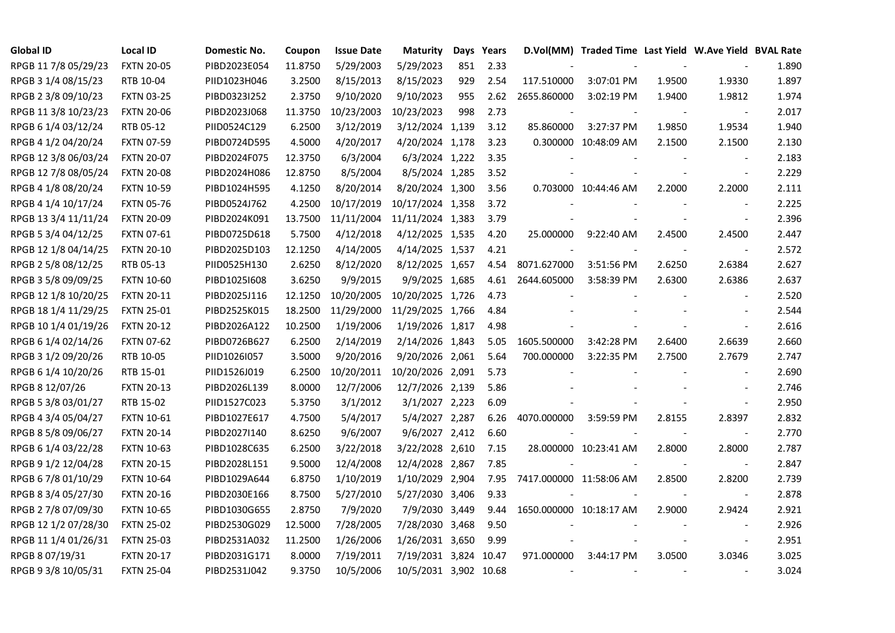| <b>Global ID</b>     | <b>Local ID</b>   | Domestic No. | Coupon  | <b>Issue Date</b> | <b>Maturity</b>       | Days | Years |                          | D.Vol(MM) Traded Time Last Yield W.Ave Yield BVAL Rate |        |                          |       |
|----------------------|-------------------|--------------|---------|-------------------|-----------------------|------|-------|--------------------------|--------------------------------------------------------|--------|--------------------------|-------|
| RPGB 11 7/8 05/29/23 | <b>FXTN 20-05</b> | PIBD2023E054 | 11.8750 | 5/29/2003         | 5/29/2023             | 851  | 2.33  |                          |                                                        |        |                          | 1.890 |
| RPGB 3 1/4 08/15/23  | RTB 10-04         | PIID1023H046 | 3.2500  | 8/15/2013         | 8/15/2023             | 929  | 2.54  | 117.510000               | 3:07:01 PM                                             | 1.9500 | 1.9330                   | 1.897 |
| RPGB 2 3/8 09/10/23  | <b>FXTN 03-25</b> | PIBD0323I252 | 2.3750  | 9/10/2020         | 9/10/2023             | 955  | 2.62  | 2655.860000              | 3:02:19 PM                                             | 1.9400 | 1.9812                   | 1.974 |
| RPGB 11 3/8 10/23/23 | <b>FXTN 20-06</b> | PIBD2023J068 | 11.3750 | 10/23/2003        | 10/23/2023            | 998  | 2.73  |                          |                                                        |        | $\overline{\phantom{a}}$ | 2.017 |
| RPGB 6 1/4 03/12/24  | RTB 05-12         | PIID0524C129 | 6.2500  | 3/12/2019         | 3/12/2024 1,139       |      | 3.12  | 85.860000                | 3:27:37 PM                                             | 1.9850 | 1.9534                   | 1.940 |
| RPGB 4 1/2 04/20/24  | <b>FXTN 07-59</b> | PIBD0724D595 | 4.5000  | 4/20/2017         | 4/20/2024 1,178       |      | 3.23  |                          | 0.300000 10:48:09 AM                                   | 2.1500 | 2.1500                   | 2.130 |
| RPGB 12 3/8 06/03/24 | <b>FXTN 20-07</b> | PIBD2024F075 | 12.3750 | 6/3/2004          | 6/3/2024 1,222        |      | 3.35  |                          |                                                        |        |                          | 2.183 |
| RPGB 12 7/8 08/05/24 | <b>FXTN 20-08</b> | PIBD2024H086 | 12.8750 | 8/5/2004          | 8/5/2024 1,285        |      | 3.52  |                          |                                                        |        | $\bar{\phantom{a}}$      | 2.229 |
| RPGB 4 1/8 08/20/24  | <b>FXTN 10-59</b> | PIBD1024H595 | 4.1250  | 8/20/2014         | 8/20/2024 1,300       |      | 3.56  |                          | 0.703000 10:44:46 AM                                   | 2.2000 | 2.2000                   | 2.111 |
| RPGB 4 1/4 10/17/24  | <b>FXTN 05-76</b> | PIBD0524J762 | 4.2500  | 10/17/2019        | 10/17/2024 1,358      |      | 3.72  |                          |                                                        |        |                          | 2.225 |
| RPGB 13 3/4 11/11/24 | <b>FXTN 20-09</b> | PIBD2024K091 | 13.7500 | 11/11/2004        | 11/11/2024 1,383      |      | 3.79  |                          |                                                        |        | $\blacksquare$           | 2.396 |
| RPGB 5 3/4 04/12/25  | <b>FXTN 07-61</b> | PIBD0725D618 | 5.7500  | 4/12/2018         | 4/12/2025 1,535       |      | 4.20  | 25.000000                | 9:22:40 AM                                             | 2.4500 | 2.4500                   | 2.447 |
| RPGB 12 1/8 04/14/25 | <b>FXTN 20-10</b> | PIBD2025D103 | 12.1250 | 4/14/2005         | 4/14/2025 1,537       |      | 4.21  |                          |                                                        |        | $\overline{\phantom{a}}$ | 2.572 |
| RPGB 2 5/8 08/12/25  | RTB 05-13         | PIID0525H130 | 2.6250  | 8/12/2020         | 8/12/2025 1,657       |      | 4.54  | 8071.627000              | 3:51:56 PM                                             | 2.6250 | 2.6384                   | 2.627 |
| RPGB 3 5/8 09/09/25  | <b>FXTN 10-60</b> | PIBD10251608 | 3.6250  | 9/9/2015          | 9/9/2025 1,685        |      | 4.61  | 2644.605000              | 3:58:39 PM                                             | 2.6300 | 2.6386                   | 2.637 |
| RPGB 12 1/8 10/20/25 | <b>FXTN 20-11</b> | PIBD2025J116 | 12.1250 | 10/20/2005        | 10/20/2025 1,726      |      | 4.73  |                          |                                                        |        |                          | 2.520 |
| RPGB 18 1/4 11/29/25 | <b>FXTN 25-01</b> | PIBD2525K015 | 18.2500 | 11/29/2000        | 11/29/2025 1,766      |      | 4.84  |                          |                                                        |        |                          | 2.544 |
| RPGB 10 1/4 01/19/26 | <b>FXTN 20-12</b> | PIBD2026A122 | 10.2500 | 1/19/2006         | 1/19/2026 1,817       |      | 4.98  |                          |                                                        |        |                          | 2.616 |
| RPGB 6 1/4 02/14/26  | <b>FXTN 07-62</b> | PIBD0726B627 | 6.2500  | 2/14/2019         | 2/14/2026 1,843       |      | 5.05  | 1605.500000              | 3:42:28 PM                                             | 2.6400 | 2.6639                   | 2.660 |
| RPGB 3 1/2 09/20/26  | RTB 10-05         | PIID1026I057 | 3.5000  | 9/20/2016         | 9/20/2026 2,061       |      | 5.64  | 700.000000               | 3:22:35 PM                                             | 2.7500 | 2.7679                   | 2.747 |
| RPGB 6 1/4 10/20/26  | RTB 15-01         | PIID1526J019 | 6.2500  | 10/20/2011        | 10/20/2026 2,091      |      | 5.73  |                          |                                                        |        | $\sim$                   | 2.690 |
| RPGB 8 12/07/26      | <b>FXTN 20-13</b> | PIBD2026L139 | 8.0000  | 12/7/2006         | 12/7/2026 2,139       |      | 5.86  |                          |                                                        |        |                          | 2.746 |
| RPGB 5 3/8 03/01/27  | RTB 15-02         | PIID1527C023 | 5.3750  | 3/1/2012          | 3/1/2027 2,223        |      | 6.09  |                          |                                                        |        |                          | 2.950 |
| RPGB 4 3/4 05/04/27  | <b>FXTN 10-61</b> | PIBD1027E617 | 4.7500  | 5/4/2017          | 5/4/2027 2,287        |      | 6.26  | 4070.000000              | 3:59:59 PM                                             | 2.8155 | 2.8397                   | 2.832 |
| RPGB 8 5/8 09/06/27  | <b>FXTN 20-14</b> | PIBD2027I140 | 8.6250  | 9/6/2007          | 9/6/2027 2,412        |      | 6.60  |                          |                                                        |        | $\blacksquare$           | 2.770 |
| RPGB 6 1/4 03/22/28  | <b>FXTN 10-63</b> | PIBD1028C635 | 6.2500  | 3/22/2018         | 3/22/2028 2,610       |      | 7.15  |                          | 28.000000 10:23:41 AM                                  | 2.8000 | 2.8000                   | 2.787 |
| RPGB 9 1/2 12/04/28  | <b>FXTN 20-15</b> | PIBD2028L151 | 9.5000  | 12/4/2008         | 12/4/2028 2,867       |      | 7.85  |                          |                                                        |        | $\blacksquare$           | 2.847 |
| RPGB 6 7/8 01/10/29  | <b>FXTN 10-64</b> | PIBD1029A644 | 6.8750  | 1/10/2019         | 1/10/2029 2,904       |      | 7.95  | 7417.000000 11:58:06 AM  |                                                        | 2.8500 | 2.8200                   | 2.739 |
| RPGB 8 3/4 05/27/30  | <b>FXTN 20-16</b> | PIBD2030E166 | 8.7500  | 5/27/2010         | 5/27/2030 3,406       |      | 9.33  |                          |                                                        |        | $\blacksquare$           | 2.878 |
| RPGB 2 7/8 07/09/30  | <b>FXTN 10-65</b> | PIBD1030G655 | 2.8750  | 7/9/2020          | 7/9/2030 3,449        |      | 9.44  | 1650.000000 10:18:17 AM  |                                                        | 2.9000 | 2.9424                   | 2.921 |
| RPGB 12 1/2 07/28/30 | <b>FXTN 25-02</b> | PIBD2530G029 | 12.5000 | 7/28/2005         | 7/28/2030 3,468       |      | 9.50  |                          |                                                        |        |                          | 2.926 |
| RPGB 11 1/4 01/26/31 | <b>FXTN 25-03</b> | PIBD2531A032 | 11.2500 | 1/26/2006         | 1/26/2031 3,650       |      | 9.99  |                          |                                                        |        | $\overline{\phantom{a}}$ | 2.951 |
| RPGB 8 07/19/31      | <b>FXTN 20-17</b> | PIBD2031G171 | 8.0000  | 7/19/2011         | 7/19/2031 3,824       |      | 10.47 | 971.000000               | 3:44:17 PM                                             | 3.0500 | 3.0346                   | 3.025 |
| RPGB 9 3/8 10/05/31  | <b>FXTN 25-04</b> | PIBD2531J042 | 9.3750  | 10/5/2006         | 10/5/2031 3,902 10.68 |      |       | $\overline{\phantom{a}}$ |                                                        |        |                          | 3.024 |